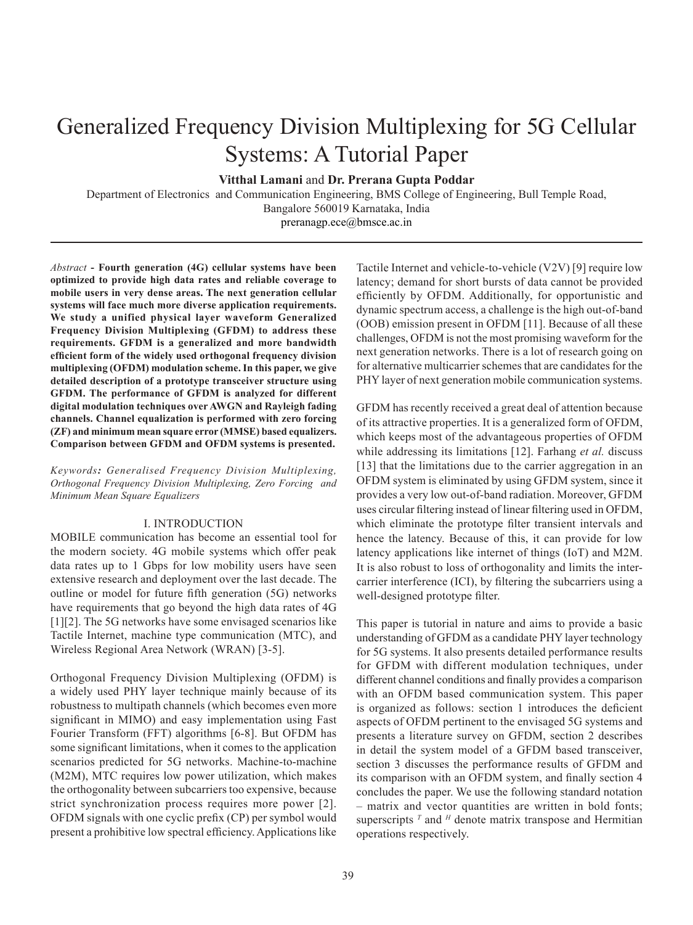# Generalized Frequency Division Multiplexing for 5G Cellular Systems: A Tutorial Paper

**Vitthal Lamani** and **Dr. Prerana Gupta Poddar**

Department of Electronics and Communication Engineering, BMS College of Engineering, Bull Temple Road, Bangalore 560019 Karnataka, India

preranagp.ece@bmsce.ac.in

*Abstract* **- Fourth generation (4G) cellular systems have been optimized to provide high data rates and reliable coverage to mobile users in very dense areas. The next generation cellular systems will face much more diverse application requirements. We study a unified physical layer waveform Generalized Frequency Division Multiplexing (GFDM) to address these requirements. GFDM is a generalized and more bandwidth efficient form of the widely used orthogonal frequency division multiplexing (OFDM) modulation scheme. In this paper, we give detailed description of a prototype transceiver structure using GFDM. The performance of GFDM is analyzed for different digital modulation techniques over AWGN and Rayleigh fading channels. Channel equalization is performed with zero forcing (ZF) and minimum mean square error (MMSE) based equalizers. Comparison between GFDM and OFDM systems is presented.**

*Keywords: Generalised Frequency Division Multiplexing, Orthogonal Frequency Division Multiplexing, Zero Forcing and Minimum Mean Square Equalizers*

## I. INTRODUCTION

MOBILE communication has become an essential tool for the modern society. 4G mobile systems which offer peak data rates up to 1 Gbps for low mobility users have seen extensive research and deployment over the last decade. The outline or model for future fifth generation (5G) networks have requirements that go beyond the high data rates of 4G [1][2]. The 5G networks have some envisaged scenarios like Tactile Internet, machine type communication (MTC), and Wireless Regional Area Network (WRAN) [3-5].

Orthogonal Frequency Division Multiplexing (OFDM) is a widely used PHY layer technique mainly because of its robustness to multipath channels (which becomes even more significant in MIMO) and easy implementation using Fast Fourier Transform (FFT) algorithms [6-8]. But OFDM has some significant limitations, when it comes to the application scenarios predicted for 5G networks. Machine-to-machine (M2M), MTC requires low power utilization, which makes the orthogonality between subcarriers too expensive, because strict synchronization process requires more power [2]. OFDM signals with one cyclic prefix (CP) per symbol would present a prohibitive low spectral efficiency. Applications like

Tactile Internet and vehicle-to-vehicle (V2V) [9] require low latency; demand for short bursts of data cannot be provided efficiently by OFDM. Additionally, for opportunistic and dynamic spectrum access, a challenge is the high out-of-band (OOB) emission present in OFDM [11]. Because of all these challenges, OFDM is not the most promising waveform for the next generation networks. There is a lot of research going on for alternative multicarrier schemes that are candidates for the PHY layer of next generation mobile communication systems.

GFDM has recently received a great deal of attention because of its attractive properties. It is a generalized form of OFDM, which keeps most of the advantageous properties of OFDM while addressing its limitations [12]. Farhang *et al.* discuss [13] that the limitations due to the carrier aggregation in an OFDM system is eliminated by using GFDM system, since it provides a very low out-of-band radiation. Moreover, GFDM uses circular filtering instead of linear filtering used in OFDM, which eliminate the prototype filter transient intervals and hence the latency. Because of this, it can provide for low latency applications like internet of things (IoT) and M2M. It is also robust to loss of orthogonality and limits the intercarrier interference (ICI), by filtering the subcarriers using a well-designed prototype filter.

This paper is tutorial in nature and aims to provide a basic understanding of GFDM as a candidate PHY layer technology for 5G systems. It also presents detailed performance results for GFDM with different modulation techniques, under different channel conditions and finally provides a comparison with an OFDM based communication system. This paper is organized as follows: section 1 introduces the deficient aspects of OFDM pertinent to the envisaged 5G systems and presents a literature survey on GFDM, section 2 describes in detail the system model of a GFDM based transceiver, section 3 discusses the performance results of GFDM and its comparison with an OFDM system, and finally section 4 concludes the paper. We use the following standard notation – matrix and vector quantities are written in bold fonts; superscripts  $<sup>T</sup>$  and  $<sup>H</sup>$  denote matrix transpose and Hermitian</sup></sup> operations respectively.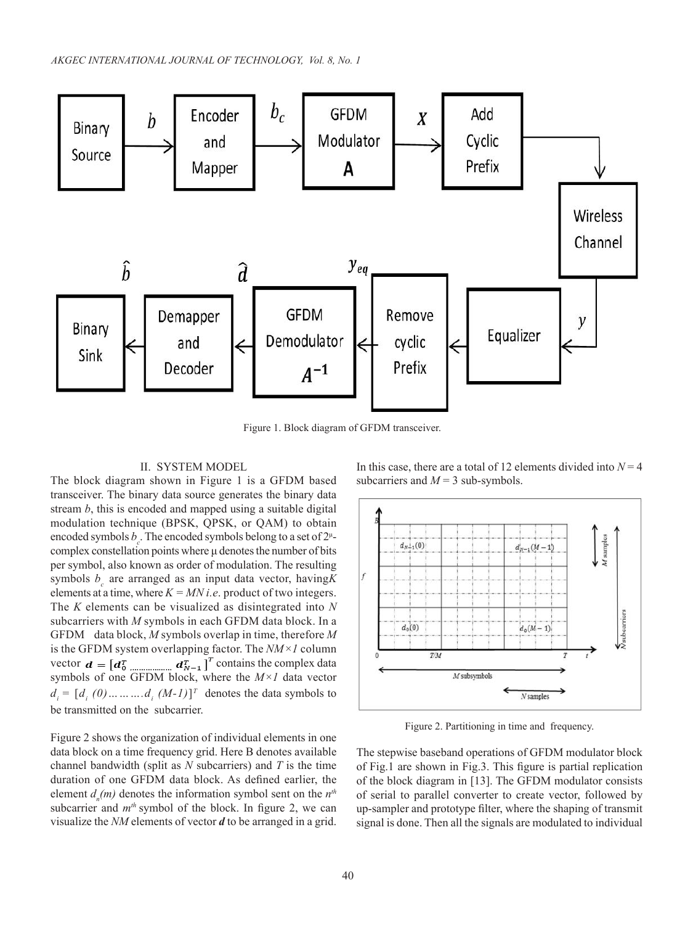

Figure 1. Block diagram of GFDM transceiver.

## II. SYSTEM MODEL

The block diagram shown in Figure 1 is a GFDM based transceiver. The binary data source generates the binary data stream *b*, this is encoded and mapped using a suitable digital modulation technique (BPSK, QPSK, or QAM) to obtain encoded symbols  $b_c$ . The encoded symbols belong to a set of  $2<sup>\mu</sup>$ complex constellation points where μ denotes the number of bits per symbol, also known as order of modulation. The resulting symbols  $b<sub>c</sub>$  are arranged as an input data vector, having K elements at a time, where  $K = MN$  *i.e.* product of two integers. The *K* elements can be visualized as disintegrated into *N*  subcarriers with *M* symbols in each GFDM data block. In a GFDM data block, *M* symbols overlap in time, therefore *M* is the GFDM system overlapping factor. The *NM×1* column vector  $\mathbf{d} = [\mathbf{d}_0^T \dots \dots \dots \dots \mathbf{d}_{N-1}^T]^T$  contains the complex data symbols of one GFDM block, where the *M×1* data vector  $d_i = [d_i \ (0) \dots \dots \dots d_i \ (M-1)]^T$  denotes the data symbols to be transmitted on the subcarrier.

Figure 2 shows the organization of individual elements in one data block on a time frequency grid. Here B denotes available channel bandwidth (split as *N* subcarriers) and *T* is the time duration of one GFDM data block. As defined earlier, the element  $d_n(m)$  denotes the information symbol sent on the  $n<sup>th</sup>$ subcarrier and  $m<sup>th</sup>$  symbol of the block. In figure 2, we can visualize the *NM* elements of vector *d* to be arranged in a grid.

In this case, there are a total of 12 elements divided into  $N = 4$ subcarriers and  $M = 3$  sub-symbols.



Figure 2. Partitioning in time and frequency.

The stepwise baseband operations of GFDM modulator block of Fig.1 are shown in Fig.3. This figure is partial replication of the block diagram in [13]. The GFDM modulator consists of serial to parallel converter to create vector, followed by up-sampler and prototype filter, where the shaping of transmit signal is done. Then all the signals are modulated to individual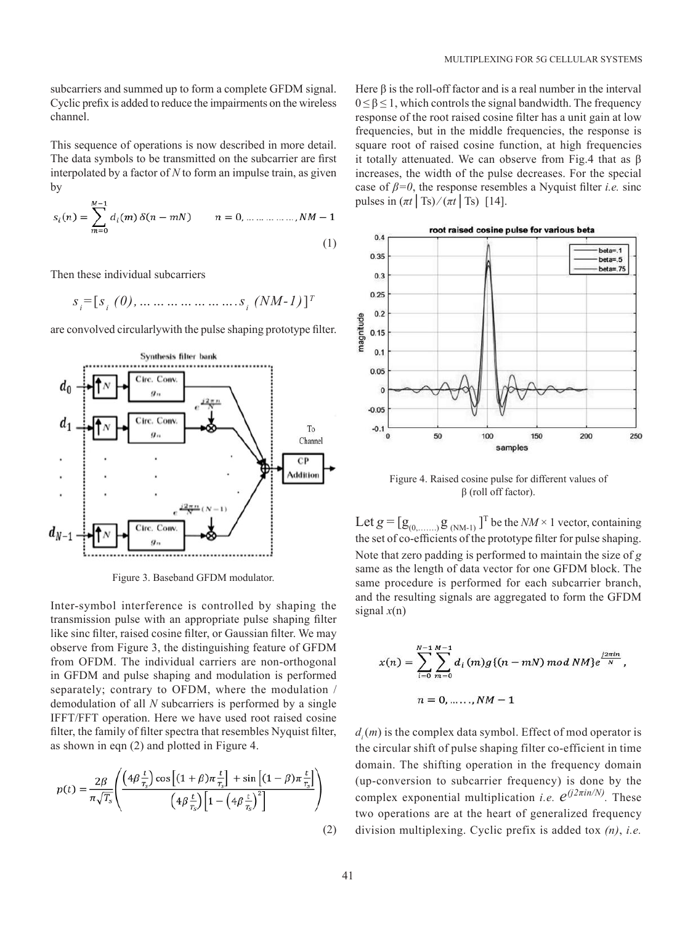subcarriers and summed up to form a complete GFDM signal. Cyclic prefix is added to reduce the impairments on the wireless channel.

This sequence of operations is now described in more detail. The data symbols to be transmitted on the subcarrier are first interpolated by a factor of *N* to form an impulse train, as given by

$$
s_i(n) = \sum_{m=0}^{M-1} d_i(m) \, \delta(n - m) \qquad n = 0, \dots \dots \dots \dots, NM - 1
$$
\n(1)

Then these individual subcarriers

$$
s_i = [s_i (0), \dots \dots \dots \dots \dots \dots s_i (NM-1)]^T
$$

are convolved circularlywith the pulse shaping prototype filter.



Figure 3. Baseband GFDM modulator.

Inter-symbol interference is controlled by shaping the transmission pulse with an appropriate pulse shaping filter like sinc filter, raised cosine filter, or Gaussian filter. We may observe from Figure 3, the distinguishing feature of GFDM from OFDM. The individual carriers are non-orthogonal in GFDM and pulse shaping and modulation is performed separately; contrary to OFDM, where the modulation / demodulation of all *N* subcarriers is performed by a single IFFT/FFT operation. Here we have used root raised cosine filter, the family of filter spectra that resembles Nyquist filter, as shown in eqn (2) and plotted in Figure 4.

$$
p(t) = \frac{2\beta}{\pi\sqrt{T_s}} \left( \frac{\left(4\beta \frac{t}{T_s}\right) \cos\left[(1+\beta)\pi \frac{t}{T_s}\right] + \sin\left[(1-\beta)\pi \frac{t}{T_s}\right]}{\left(4\beta \frac{t}{T_s}\right)\left[1-\left(4\beta \frac{t}{T_s}\right)^2\right]} \right)
$$
(2)

Here  $\beta$  is the roll-off factor and is a real number in the interval  $0 \leq \beta \leq 1$ , which controls the signal bandwidth. The frequency response of the root raised cosine filter has a unit gain at low frequencies, but in the middle frequencies, the response is square root of raised cosine function, at high frequencies it totally attenuated. We can observe from Fig.4 that as β increases, the width of the pulse decreases. For the special case of  $\beta = 0$ , the response resembles a Nyquist filter *i.e.* sinc pulses in  $(\pi t | \text{Ts}) / (\pi t | \text{Ts})$  [14].



Figure 4. Raised cosine pulse for different values of β (roll off factor).

Let  $g = [g_{(0, \dots, 0)} g_{(NM-1)}]^T$  be the  $NM \times 1$  vector, containing the set of co-efficients of the prototype filter for pulse shaping. Note that zero padding is performed to maintain the size of *g* same as the length of data vector for one GFDM block. The same procedure is performed for each subcarrier branch, and the resulting signals are aggregated to form the GFDM signal *x*(n)

$$
x(n) = \sum_{i=0}^{N-1} \sum_{m=0}^{M-1} d_i(m)g\{(n-mN) mod NM\}e^{\frac{j2\pi i n}{N}},
$$
  

$$
n = 0, \dots, NM-1
$$

 $d<sub>i</sub>(m)$  is the complex data symbol. Effect of mod operator is the circular shift of pulse shaping filter co-efficient in time domain. The shifting operation in the frequency domain (up-conversion to subcarrier frequency) is done by the complex exponential multiplication *i.e.*  $e^{(j2\pi in/N)}$ . These two operations are at the heart of generalized frequency division multiplexing. Cyclic prefix is added tox *(n)*, *i.e.*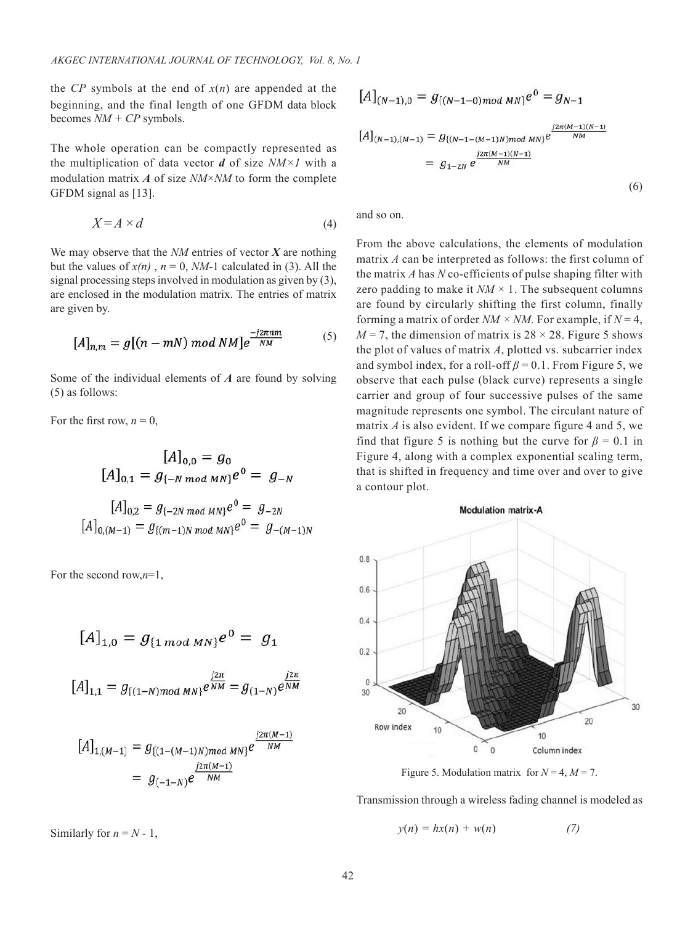the *CP* symbols at the end of  $x(n)$  are appended at the beginning, and the final length of one GFDM data block becomes *NM + CP* symbols.

The whole operation can be compactly represented as the multiplication of data vector *d* of size *NM×1* with a modulation matrix *A* of size *NM*×*NM* to form the complete GFDM signal as [13].

$$
X = A \times d \tag{4}
$$

We may observe that the *NM* entries of vector *X* are nothing but the values of  $x(n)$ ,  $n = 0$ , *NM*-1 calculated in (3). All the signal processing steps involved in modulation as given by (3), are enclosed in the modulation matrix. The entries of matrix are given by.

$$
[A]_{n,m} = g[(n-mN) \bmod NM]e^{\frac{-j2\pi nm}{NM}}
$$
 (5)

Some of the individual elements of *A* are found by solving (5) as follows:

For the first row,  $n = 0$ ,

$$
[A]_{0,0} = g_0
$$
  
\n
$$
[A]_{0,1} = g_{\{-N \mod MN\}} e^0 = g_{-N}
$$
  
\n
$$
[A]_{0,2} = g_{\{-2N \mod MN\}} e^0 = g_{-2N}
$$
  
\n
$$
[A]_{0,(M-1)} = g_{\{(m-1)N \mod MN\}} e^0 = g_{-(M-1)N}
$$

For the second row,*n*=1,

$$
[A]_{1,0} = g_{\{1 \bmod MN\}} e^0 = g_1
$$

$$
[A]_{1,1} = g_{\{(1-N) \mod MN\}} e^{\frac{j2\pi}{NM}} = g_{(1-N)} e^{\frac{j2\pi}{NM}}
$$

$$
[A]_{1,(M-1)} = g_{\{(1-(M-1)N)mod MN\}} e^{\frac{j2\pi(M-1)}{NM}}
$$
  
=  $g_{(-1-N)}e^{\frac{j2\pi(M-1)}{NM}}$ 

Similarly for  $n = N - 1$ ,

$$
[A]_{(N-1),0} = g_{\{(N-1-0)mod MN\}} e^0 = g_{N-1}
$$
  

$$
[A]_{(N-1),(M-1)} = g_{\{(N-1-(M-1)N)mod MN\}} e^{\frac{j2\pi(M-1)(N-1)}{NM}}
$$
  

$$
= g_{1-2N} e^{\frac{j2\pi(M-1)(N-1)}{NM}}
$$
  
(6)

and so on.

From the above calculations, the elements of modulation matrix *A* can be interpreted as follows: the first column of the matrix *A* has *N* co-efficients of pulse shaping filter with zero padding to make it  $NM \times 1$ . The subsequent columns are found by circularly shifting the first column, finally forming a matrix of order  $NM \times NM$ . For example, if  $N = 4$ ,  $M = 7$ , the dimension of matrix is  $28 \times 28$ . Figure 5 shows the plot of values of matrix *A*, plotted vs. subcarrier index and symbol index, for a roll-off  $\beta = 0.1$ . From Figure 5, we observe that each pulse (black curve) represents a single carrier and group of four successive pulses of the same magnitude represents one symbol. The circulant nature of matrix *A* is also evident. If we compare figure 4 and 5, we find that figure 5 is nothing but the curve for  $\beta = 0.1$  in Figure 4, along with a complex exponential scaling term, that is shifted in frequency and time over and over to give a contour plot.



Figure 5. Modulation matrix for  $N = 4$ ,  $M = 7$ .

Transmission through a wireless fading channel is modeled as

$$
y(n) = hx(n) + w(n) \tag{7}
$$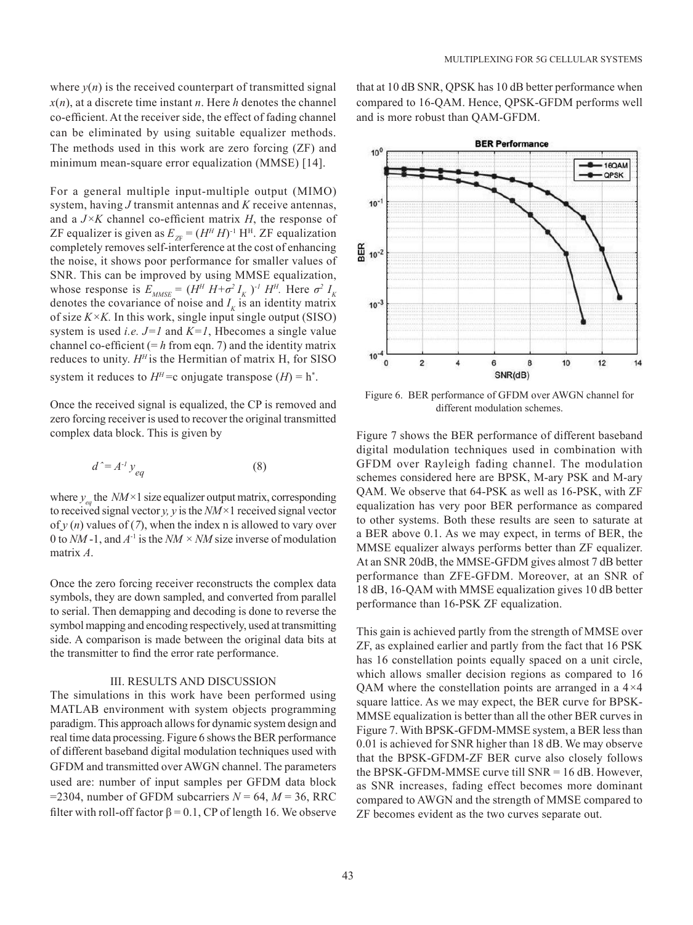where  $y(n)$  is the received counterpart of transmitted signal  $x(n)$ , at a discrete time instant *n*. Here *h* denotes the channel co-efficient. At the receiver side, the effect of fading channel can be eliminated by using suitable equalizer methods. The methods used in this work are zero forcing (ZF) and minimum mean-square error equalization (MMSE) [14].

For a general multiple input-multiple output (MIMO) system, having *J* transmit antennas and *K* receive antennas, and a *J×K* channel co-efficient matrix *H*, the response of ZF equalizer is given as  $E_{ZF} = (H^H H)^{-1} H^H$ . ZF equalization completely removes self-interference at the cost of enhancing the noise, it shows poor performance for smaller values of SNR. This can be improved by using MMSE equalization, whose response is  $E_{MMSE} = (H^H H + \sigma^2 I_K)^{-1} H^H$ . Here  $\sigma^2 I_K$ denotes the covariance of noise and  $I_k$  is an identity matrix of size  $K \times K$ . In this work, single input single output (SISO) system is used *i.e. J=1* and *K=1*, Hbecomes a single value channel co-efficient  $(= h$  from eqn. 7) and the identity matrix reduces to unity.  $H<sup>H</sup>$  is the Hermitian of matrix H, for SISO system it reduces to  $H^H$ =c onjugate transpose  $(H)$  = h<sup>\*</sup>.

Once the received signal is equalized, the CP is removed and zero forcing receiver is used to recover the original transmitted complex data block. This is given by

$$
d^2 = A^{-1} y_{eq} \tag{8}
$$

where  $y_{eq}$  the *NM*×1 size equalizer output matrix, corresponding to received signal vector *y, y* is the *NM×*1 received signal vector of  $y(n)$  values of (7), when the index n is allowed to vary over 0 to *NM* -1, and *A*-1 is the *NM × NM* size inverse of modulation matrix *A*.

Once the zero forcing receiver reconstructs the complex data symbols, they are down sampled, and converted from parallel to serial. Then demapping and decoding is done to reverse the symbol mapping and encoding respectively, used at transmitting side. A comparison is made between the original data bits at the transmitter to find the error rate performance.

#### III. RESULTS AND DISCUSSION

The simulations in this work have been performed using MATLAB environment with system objects programming paradigm. This approach allows for dynamic system design and real time data processing. Figure 6 shows the BER performance of different baseband digital modulation techniques used with GFDM and transmitted over AWGN channel. The parameters used are: number of input samples per GFDM data block =2304, number of GFDM subcarriers  $N = 64$ ,  $M = 36$ , RRC filter with roll-off factor  $\beta = 0.1$ , CP of length 16. We observe that at 10 dB SNR, QPSK has 10 dB better performance when compared to 16-QAM. Hence, QPSK-GFDM performs well and is more robust than QAM-GFDM.



Figure 6. BER performance of GFDM over AWGN channel for different modulation schemes.

Figure 7 shows the BER performance of different baseband digital modulation techniques used in combination with GFDM over Rayleigh fading channel. The modulation schemes considered here are BPSK, M-ary PSK and M-ary QAM. We observe that 64-PSK as well as 16-PSK, with ZF equalization has very poor BER performance as compared to other systems. Both these results are seen to saturate at a BER above 0.1. As we may expect, in terms of BER, the MMSE equalizer always performs better than ZF equalizer. At an SNR 20dB, the MMSE-GFDM gives almost 7 dB better performance than ZFE-GFDM. Moreover, at an SNR of 18 dB, 16-QAM with MMSE equalization gives 10 dB better performance than 16-PSK ZF equalization.

This gain is achieved partly from the strength of MMSE over ZF, as explained earlier and partly from the fact that 16 PSK has 16 constellation points equally spaced on a unit circle, which allows smaller decision regions as compared to 16 QAM where the constellation points are arranged in a 4*×*4 square lattice. As we may expect, the BER curve for BPSK-MMSE equalization is better than all the other BER curves in Figure 7. With BPSK-GFDM-MMSE system, a BER less than 0.01 is achieved for SNR higher than 18 dB. We may observe that the BPSK-GFDM-ZF BER curve also closely follows the BPSK-GFDM-MMSE curve till SNR = 16 dB. However, as SNR increases, fading effect becomes more dominant compared to AWGN and the strength of MMSE compared to ZF becomes evident as the two curves separate out.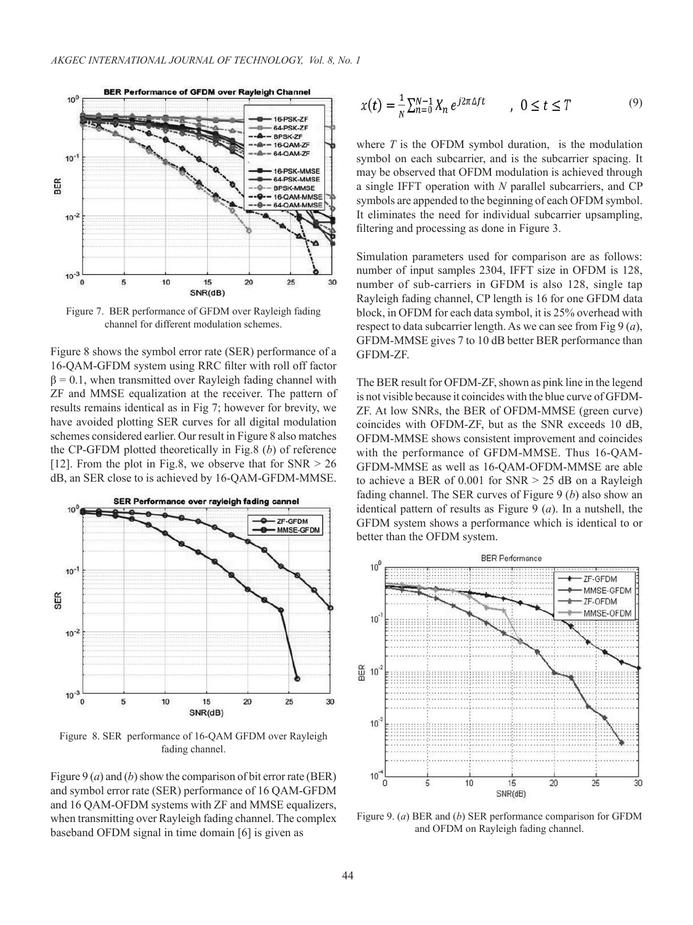

Figure 7. BER performance of GFDM over Rayleigh fading channel for different modulation schemes.

Figure 8 shows the symbol error rate (SER) performance of a 16-QAM-GFDM system using RRC filter with roll off factor  $\beta = 0.1$ , when transmitted over Rayleigh fading channel with ZF and MMSE equalization at the receiver. The pattern of results remains identical as in Fig 7; however for brevity, we have avoided plotting SER curves for all digital modulation schemes considered earlier. Our result in Figure 8 also matches the CP-GFDM plotted theoretically in Fig.8 (*b*) of reference [12]. From the plot in Fig.8, we observe that for  $SNR > 26$ dB, an SER close to is achieved by 16-QAM-GFDM-MMSE.



Figure 8. SER performance of 16-QAM GFDM over Rayleigh fading channel.

Figure 9 (*a*) and (*b*) show the comparison of bit error rate (BER) and symbol error rate (SER) performance of 16 QAM-GFDM and 16 QAM-OFDM systems with ZF and MMSE equalizers, when transmitting over Rayleigh fading channel. The complex baseband OFDM signal in time domain [6] is given as

$$
x(t) = \frac{1}{N} \sum_{n=0}^{N-1} X_n e^{j2\pi \Delta ft} \qquad , \ 0 \le t \le T \tag{9}
$$

where  $T$  is the OFDM symbol duration, is the modulation symbol on each subcarrier, and is the subcarrier spacing. It may be observed that OFDM modulation is achieved through a single IFFT operation with *N* parallel subcarriers, and CP symbols are appended to the beginning of each OFDM symbol. It eliminates the need for individual subcarrier upsampling, filtering and processing as done in Figure 3.

Simulation parameters used for comparison are as follows: number of input samples 2304, IFFT size in OFDM is 128, number of sub-carriers in GFDM is also 128, single tap Rayleigh fading channel, CP length is 16 for one GFDM data block, in OFDM for each data symbol, it is 25% overhead with respect to data subcarrier length. As we can see from Fig 9 (*a*), GFDM-MMSE gives 7 to 10 dB better BER performance than GFDM-ZF.

The BER result for OFDM-ZF, shown as pink line in the legend is not visible because it coincides with the blue curve of GFDM-ZF. At low SNRs, the BER of OFDM-MMSE (green curve) coincides with OFDM-ZF, but as the SNR exceeds 10 dB, OFDM-MMSE shows consistent improvement and coincides with the performance of GFDM-MMSE. Thus 16-QAM-GFDM-MMSE as well as 16-QAM-OFDM-MMSE are able to achieve a BER of  $0.001$  for SNR  $> 25$  dB on a Rayleigh fading channel. The SER curves of Figure 9 (*b*) also show an identical pattern of results as Figure 9 (*a*). In a nutshell, the GFDM system shows a performance which is identical to or better than the OFDM system.



Figure 9. (*a*) BER and (*b*) SER performance comparison for GFDM and OFDM on Rayleigh fading channel.